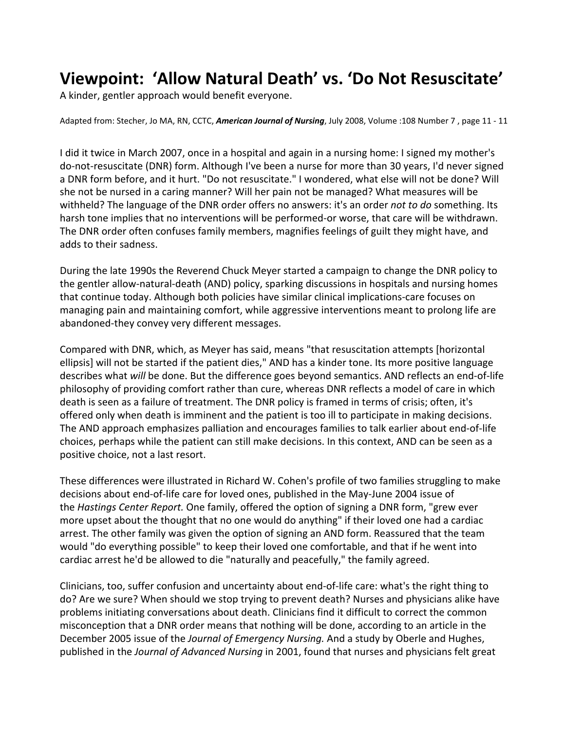## **Viewpoint: 'Allow Natural Death' vs. 'Do Not Resuscitate'**

A kinder, gentler approach would benefit everyone.

Adapted from: Stecher, Jo MA, RN, CCTC, *American Journal of Nursing*, July 2008, Volume :108 Number 7 , page 11 - 11

I did it twice in March 2007, once in a hospital and again in a nursing home: I signed my mother's do-not-resuscitate (DNR) form. Although I've been a nurse for more than 30 years, I'd never signed a DNR form before, and it hurt. "Do not resuscitate." I wondered, what else will not be done? Will she not be nursed in a caring manner? Will her pain not be managed? What measures will be withheld? The language of the DNR order offers no answers: it's an order *not to do* something. Its harsh tone implies that no interventions will be performed-or worse, that care will be withdrawn. The DNR order often confuses family members, magnifies feelings of guilt they might have, and adds to their sadness.

During the late 1990s the Reverend Chuck Meyer started a campaign to change the DNR policy to the gentler allow-natural-death (AND) policy, sparking discussions in hospitals and nursing homes that continue today. Although both policies have similar clinical implications-care focuses on managing pain and maintaining comfort, while aggressive interventions meant to prolong life are abandoned-they convey very different messages.

Compared with DNR, which, as Meyer has said, means "that resuscitation attempts [horizontal ellipsis] will not be started if the patient dies," AND has a kinder tone. Its more positive language describes what *will* be done. But the difference goes beyond semantics. AND reflects an end-of-life philosophy of providing comfort rather than cure, whereas DNR reflects a model of care in which death is seen as a failure of treatment. The DNR policy is framed in terms of crisis; often, it's offered only when death is imminent and the patient is too ill to participate in making decisions. The AND approach emphasizes palliation and encourages families to talk earlier about end-of-life choices, perhaps while the patient can still make decisions. In this context, AND can be seen as a positive choice, not a last resort.

These differences were illustrated in Richard W. Cohen's profile of two families struggling to make decisions about end-of-life care for loved ones, published in the May-June 2004 issue of the *Hastings Center Report.* One family, offered the option of signing a DNR form, "grew ever more upset about the thought that no one would do anything" if their loved one had a cardiac arrest. The other family was given the option of signing an AND form. Reassured that the team would "do everything possible" to keep their loved one comfortable, and that if he went into cardiac arrest he'd be allowed to die "naturally and peacefully," the family agreed.

Clinicians, too, suffer confusion and uncertainty about end-of-life care: what's the right thing to do? Are we sure? When should we stop trying to prevent death? Nurses and physicians alike have problems initiating conversations about death. Clinicians find it difficult to correct the common misconception that a DNR order means that nothing will be done, according to an article in the December 2005 issue of the *Journal of Emergency Nursing.* And a study by Oberle and Hughes, published in the *Journal of Advanced Nursing* in 2001, found that nurses and physicians felt great